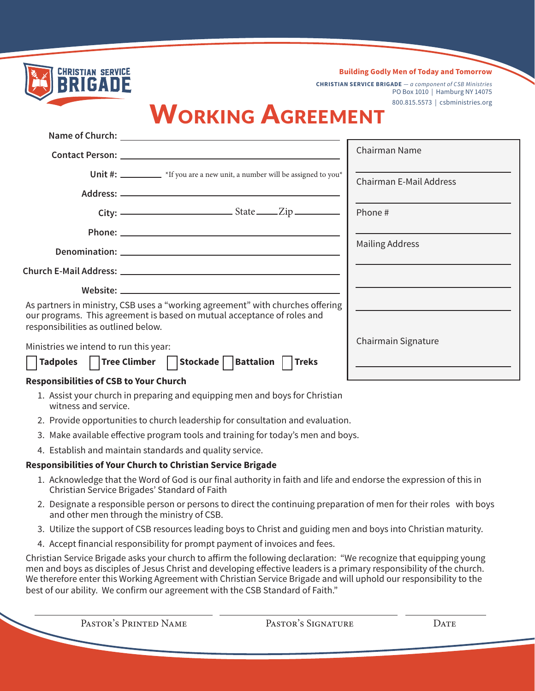| <b>CHRISTIAN SERVICE</b>                                                                                       | <b>Building Godly Men of Today and Tomorrow</b>                                                     |
|----------------------------------------------------------------------------------------------------------------|-----------------------------------------------------------------------------------------------------|
| BRIGADE                                                                                                        | <b>CHRISTIAN SERVICE BRIGADE</b> $-a$ component of CSB Ministries<br>PO Box 1010   Hamburg NY 14075 |
|                                                                                                                | 800.815.5573   csbministries.org                                                                    |
| <b>WORKING AGREEMENT</b>                                                                                       |                                                                                                     |
|                                                                                                                |                                                                                                     |
|                                                                                                                | Chairman Name                                                                                       |
| Unit #: *If you are a new unit, a number will be assigned to you*                                              | <b>Chairman E-Mail Address</b>                                                                      |
|                                                                                                                |                                                                                                     |
| $City:$ $—$ State $\_\_Zip$                                                                                    | Phone #                                                                                             |
|                                                                                                                |                                                                                                     |
|                                                                                                                | <b>Mailing Address</b>                                                                              |
|                                                                                                                |                                                                                                     |
|                                                                                                                |                                                                                                     |
| As partners in ministry, CSB uses a "working agreement" with churches offering                                 |                                                                                                     |
| our programs. This agreement is based on mutual acceptance of roles and<br>responsibilities as outlined below. |                                                                                                     |
| Ministries we intend to run this year:                                                                         | Chairmain Signature                                                                                 |
| Tadpoles     Tree Climber     Stockade     Battalion     Treks                                                 | <u> 1989 - Johann Barbara, martxa alemaniar arg</u>                                                 |
| <b>Responsibilities of CSB to Your Church</b>                                                                  |                                                                                                     |
| 1. Assist your church in preparing and equipping men and boys for Christian<br>witness and service.            |                                                                                                     |
| 2. Provide opportunities to church leadership for consultation and evaluation.                                 |                                                                                                     |
| 3. Make available effective program tools and training for today's men and boys.                               |                                                                                                     |
| 4. Establish and maintain standards and quality service.                                                       |                                                                                                     |

## **Responsibilities of Your Church to Christian Service Brigade**

- 1. Acknowledge that the Word of God is our final authority in faith and life and endorse the expression of this in Christian Service Brigades' Standard of Faith
- 2. Designate a responsible person or persons to direct the continuing preparation of men for their roles with boys and other men through the ministry of CSB.
- 3. Utilize the support of CSB resources leading boys to Christ and guiding men and boys into Christian maturity.
- 4. Accept financial responsibility for prompt payment of invoices and fees.

Christian Service Brigade asks your church to affirm the following declaration: "We recognize that equipping young men and boys as disciples of Jesus Christ and developing effective leaders is a primary responsibility of the church. We therefore enter this Working Agreement with Christian Service Brigade and will uphold our responsibility to the best of our ability. We confirm our agreement with the CSB Standard of Faith."

Pastor's Printed Name Pastor's Signature Date